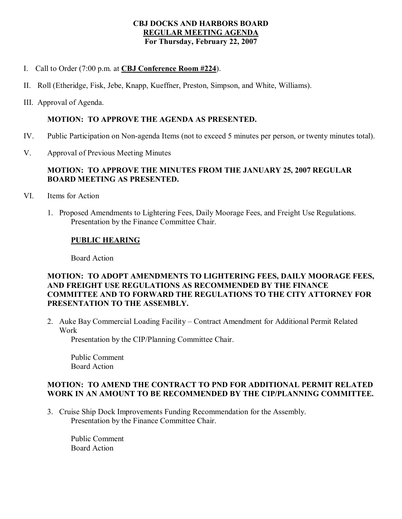### **CBJ DOCKS AND HARBORS BOARD REGULAR MEETING AGENDA For Thursday, February 22, 2007**

- I. Call to Order (7:00 p.m. at **CBJ Conference Room #224**).
- II. Roll (Etheridge, Fisk, Jebe, Knapp, Kueffner, Preston, Simpson, and White, Williams).
- III. Approval of Agenda.

### **MOTION: TO APPROVE THE AGENDA AS PRESENTED.**

- IV. Public Participation on Non-agenda Items (not to exceed 5 minutes per person, or twenty minutes total).
- V. Approval of Previous Meeting Minutes

# **MOTION: TO APPROVE THE MINUTES FROM THE JANUARY 25,2007 REGULAR BOARD MEETING AS PRESENTED.**

- VI. Items for Action
	- 1. Proposed Amendments to Lightering Fees, Daily Moorage Fees, and Freight Use Regulations. Presentation by the Finance Committee Chair.

### **PUBLIC HEARING**

Board Action

## **MOTION: TO ADOPT AMENDMENTS TO LIGHTERING FEES, DAILY MOORAGE FEES, AND FREIGHT USE REGULATIONS AS RECOMMENDED BY THE FINANCE COMMITTEE AND TO FORWARD THE REGULATIONS TO THE CITY ATTORNEY FOR PRESENTATION TO THE ASSEMBLY.**

2. Auke Bay Commercial Loading Facility – Contract Amendment for Additional Permit Related Work

Presentation by the CIP/Planning Committee Chair.

Public Comment Board Action

## **MOTION: TO AMEND THE CONTRACT TO PND FOR ADDITIONAL PERMIT RELATED WORK IN AN AMOUNT TO BE RECOMMENDED BY THE CIP/PLANNING COMMITTEE.**

3. Cruise Ship Dock Improvements Funding Recommendation for the Assembly. Presentation by the Finance Committee Chair.

Public Comment Board Action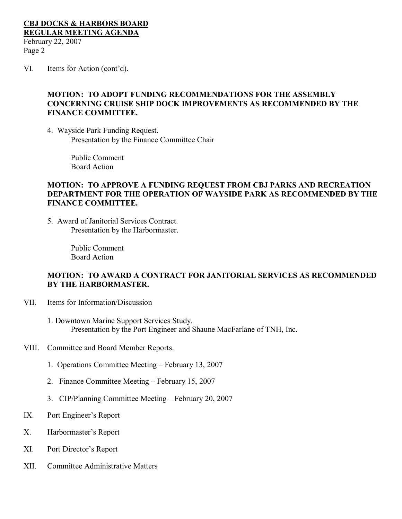### **CBJ DOCKS & HARBORS BOARD REGULAR MEETING AGENDA** February 22, 2007 Page 2

VI. Items for Action (cont'd).

## **MOTION: TO ADOPT FUNDING RECOMMENDATIONS FOR THE ASSEMBLY CONCERNING CRUISE SHIP DOCK IMPROVEMENTS AS RECOMMENDED BY THE FINANCE COMMITTEE.**

4. Wayside Park Funding Request. Presentation by the Finance Committee Chair

> Public Comment Board Action

#### **MOTION: TO APPROVE A FUNDING REQUEST FROM CBJ PARKS AND RECREATION DEPARTMENT FOR THE OPERATION OF WAYSIDE PARK AS RECOMMENDED BY THE FINANCE COMMITTEE.**

5. Award of Janitorial Services Contract. Presentation by the Harbormaster.

> Public Comment Board Action

### **MOTION: TO AWARD A CONTRACT FOR JANITORIAL SERVICES AS RECOMMENDED BY THE HARBORMASTER.**

- VII. Items for Information/Discussion
	- 1. Downtown Marine Support Services Study. Presentation by the Port Engineer and Shaune MacFarlane of TNH, Inc.
- VIII. Committee and Board Member Reports.
	- 1. Operations Committee Meeting February 13, 2007
	- 2. Finance Committee Meeting February 15, 2007
	- 3. CIP/Planning Committee Meeting February 20, 2007
- IX. Port Engineer's Report
- X. Harbormaster's Report
- XI. Port Director's Report
- XII. Committee Administrative Matters